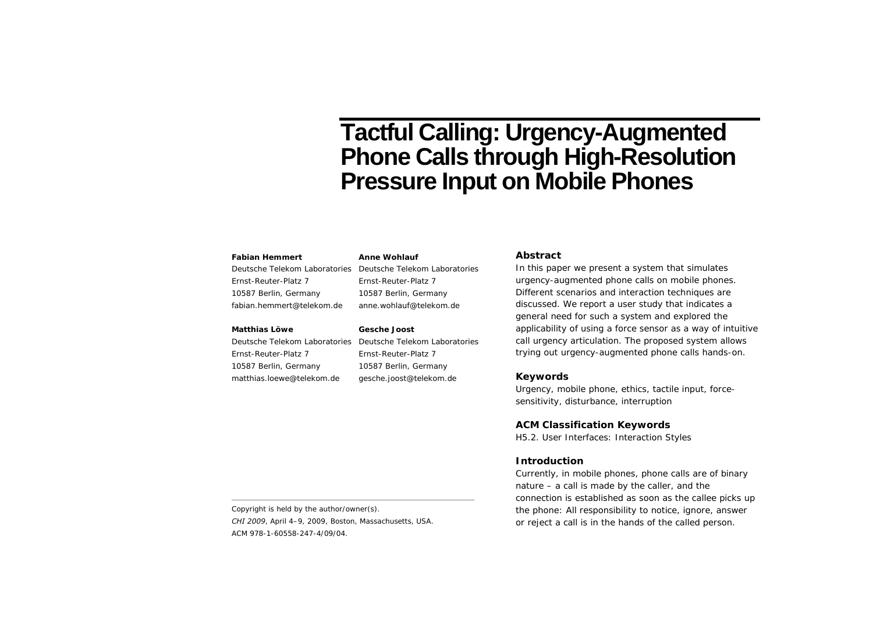# **Tactful Calling: Urgency-Augmented Phone Calls through High-Resolution Pressure Input on Mobile Phones**

#### **Fabian Hemmert**

Deutsche Telekom Laboratories Deutsche Telekom Laboratories Ernst-Reuter-Platz 7 10587 Berlin, Germany fabian.hemmert@telekom.de

#### **Matthias Löwe**

Ernst-Reuter-Platz 7 10587 Berlin, Germany matthias.loewe@telekom.de Ernst-Reuter-Platz 7 10587 Berlin, Germany anne.wohlauf@telekom.de

#### **Gesche Joost**

**Anne Wohlauf** 

Deutsche Telekom Laboratories Deutsche Telekom Laboratories Ernst-Reuter-Platz 7 10587 Berlin, Germany gesche.joost@telekom.de

#### **Abstract**

In this paper we present a system that simulates urgency-augmented phone calls on mobile phones. Different scenarios and interaction techniques are discussed. We report a user study that indicates a general need for such a system and explored the applicability of using a force sensor as a way of intuitive call urgency articulation. The proposed system allows trying out urgency-augmented phone calls hands-on.

## **Keywords**

Urgency, mobile phone, ethics, tactile input, forcesensitivity, disturbance, interruption

### **ACM Classification Keywords**

H5.2. User Interfaces: Interaction Styles

## **Introduction**

Currently, in mobile phones, phone calls are of binary nature – a call is made by the caller, and the connection is established as soon as the callee picks up the phone: All responsibility to notice, ignore, answer or reject a call is in the hands of the called person.

Copyright is held by the author/owner(s). *CHI 2009*, April 4–9, 2009, Boston, Massachusetts, USA. ACM 978-1-60558-247-4/09/04.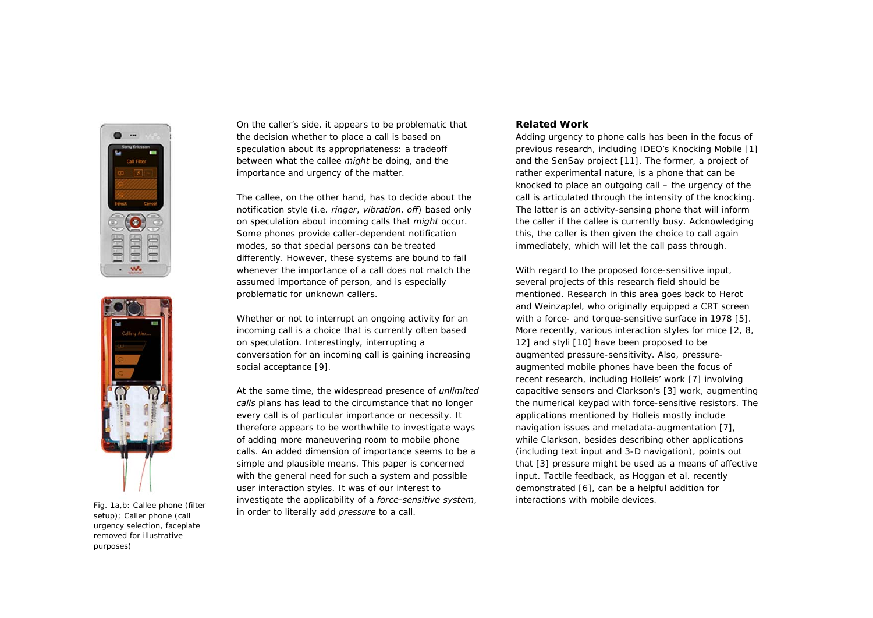



setup); Caller phone (call urgency selection, faceplate removed for illustrative purposes)

On the caller's side, it appears to be problematic that the decision whether to place a call is based on speculation about its appropriateness: a tradeoff between what the callee *might* be doing, and the importance and urgency of the matter.

The callee, on the other hand, has to decide about the notification style (i.e. *ringer*, *vibration*, *off*) based only on speculation about incoming calls that *might* occur. Some phones provide caller-dependent notification modes, so that special persons can be treated differently. However, these systems are bound to fail whenever the importance of a call does not match the assumed importance of person, and is especially problematic for unknown callers.

Whether or not to interrupt an ongoing activity for an incoming call is a choice that is currently often based on speculation. Interestingly, interrupting a conversation for an incoming call is gaining increasing social acceptance [9].

At the same time, the widespread presence of *unlimited calls* plans has lead to the circumstance that no longer every call is of particular importance or necessity. It therefore appears to be worthwhile to investigate ways of adding more maneuvering room to mobile phone calls. An added dimension of importance seems to be a simple and plausible means. This paper is concerned with the general need for such a system and possible user interaction styles. It was of our interest to investigate the applicability of a *force-sensitive system*, interactions with mobile devices. Fig. 1a,b: Callee phone (filter in order to literally add *pressure* to a call.

# **Related Work**

Adding urgency to phone calls has been in the focus of previous research, including IDEO's Knocking Mobile [1] and the SenSay project [11]. The former, a project of rather experimental nature, is a phone that can be knocked to place an outgoing call – the urgency of the call is articulated through the intensity of the knocking. The latter is an activity-sensing phone that will inform the caller if the callee is currently busy. Acknowledging this, the caller is then given the choice to call again immediately, which will let the call pass through.

With regard to the proposed force-sensitive input, several projects of this research field should be mentioned. Research in this area goes back to Herot and Weinzapfel, who originally equipped a CRT screen with a force- and torque-sensitive surface in 1978 [5]. More recently, various interaction styles for mice [2, 8, 12] and styli [10] have been proposed to be augmented pressure-sensitivity. Also, pressureaugmented mobile phones have been the focus of recent research, including Holleis' work [7] involving capacitive sensors and Clarkson's [3] work, augmenting the numerical keypad with force-sensitive resistors. The applications mentioned by Holleis mostly include navigation issues and metadata-augmentation [7], while Clarkson, besides describing other applications (including text input and 3-D navigation), points out that [3] pressure might be used as a means of affective input. Tactile feedback, as Hoggan et al. recently demonstrated [6], can be a helpful addition for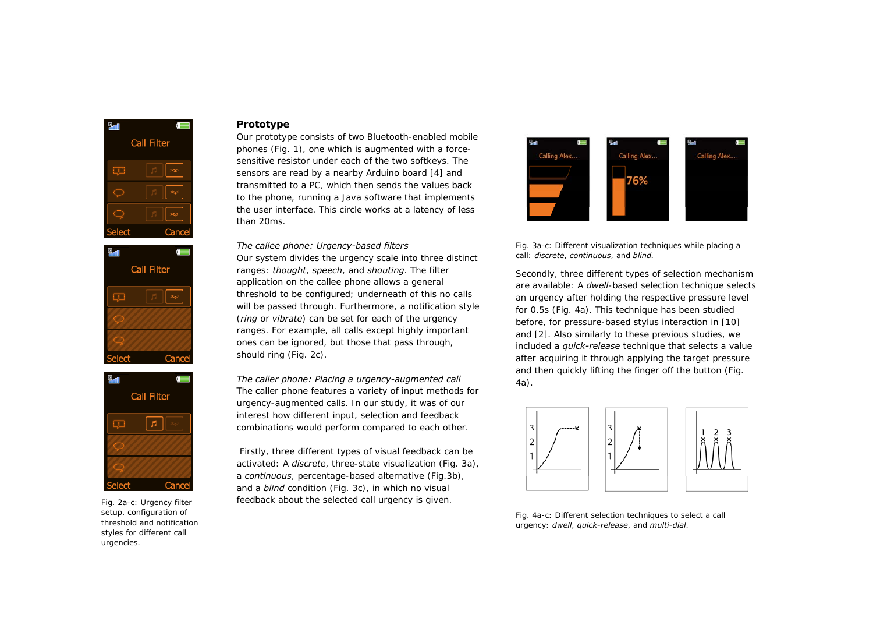





Fig. 2a-c: Urgency filter setup, configuration of threshold and notification styles for different call urgencies.

## **Prototype**

Our prototype consists of two Bluetooth-enabled mobile phones (Fig. 1), one which is augmented with a forcesensitive resistor under each of the two softkeys. The sensors are read by a nearby Arduino board [4] and transmitted to a PC, which then sends the values back to the phone, running a Java software that implements the user interface. This circle works at a latency of less than 20ms.

*The callee phone: Urgency-based filters*  Our system divides the urgency scale into three distinct ranges: *thought*, *speech*, and *shouting*. The filter application on the callee phone allows a general threshold to be configured; underneath of this no calls will be passed through. Furthermore, a notification style (*ring* or *vibrate*) can be set for each of the urgency ranges. For example, all calls except highly important ones can be ignored, but those that pass through, should ring (Fig. 2c).

*The caller phone: Placing a urgency-augmented call*  The caller phone features a variety of input methods for urgency-augmented calls. In our study, it was of our interest how different input, selection and feedback combinations would perform compared to each other.

 Firstly, three different types of visual feedback can be activated: A *discrete*, three-state visualization (Fig. 3a), <sup>a</sup>*continuous*, percentage-based alternative (Fig.3b), and a *blind* condition (Fig. 3c), in which no visual feedback about the selected call urgency is given.





Secondly, three different types of selection mechanism are available: A *dwell*-based selection technique selects an urgency after holding the respective pressure level for 0.5s (Fig. 4a). This technique has been studied before, for pressure-based stylus interaction in [10] and [2]. Also similarly to these previous studies, we included a *quick-release* technique that selects a value after acquiring it through applying the target pressure and then quickly lifting the finger off the button (Fig. 4a).



Fig. 4a-c: Different selection techniques to select a call urgency: *dwell*, *quick-release*, and *multi-dial*.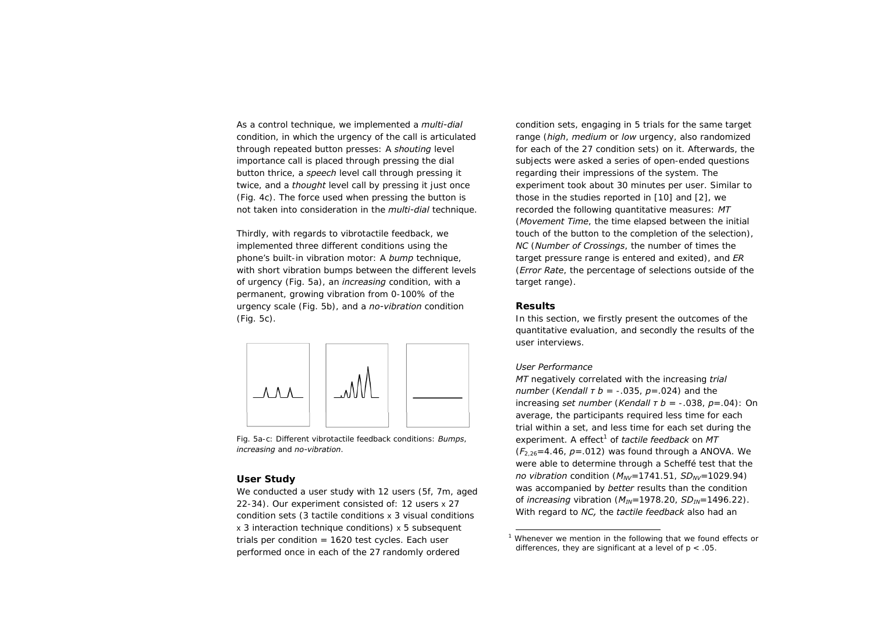As a control technique, we implemented a *multi-dial* condition, in which the urgency of the call is articulated through repeated button presses: A *shouting* level importance call is placed through pressing the dial button thrice, a *speech* level call through pressing it twice, and a *thought* level call by pressing it just once (Fig. 4c). The force used when pressing the button is not taken into consideration in the *multi-dial* technique.

Thirdly, with regards to vibrotactile feedback, we implemented three different conditions using the phone's built-in vibration motor: A *bump* technique, with short vibration bumps between the different levels of urgency (Fig. 5a), an *increasing* condition, with a permanent, growing vibration from 0-100% of the urgency scale (Fig. 5b), and a *no-vibration* condition (Fig. 5c).



Fig. 5a-c: Different vibrotactile feedback conditions: *Bumps*, *increasing* and *no-vibration*.

# **User Study**

We conducted a user study with 12 users (5f, 7m, aged 22-34). Our experiment consisted of: 12 users x 27 condition sets (3 tactile conditions x 3 visual conditions <sup>x</sup> 3 interaction technique conditions) x 5 subsequent trials per condition  $= 1620$  test cycles. Each user performed once in each of the 27 randomly ordered

condition sets, engaging in 5 trials for the same target range (*high*, *medium* or *low* urgency, also randomized for each of the 27 condition sets) on it. Afterwards, the subjects were asked a series of open-ended questions regarding their impressions of the system. The experiment took about 30 minutes per user. Similar to those in the studies reported in [10] and [2], we recorded the following quantitative measures: *MT* (*Movement Time*, the time elapsed between the initial touch of the button to the completion of the selection), *NC* (*Number of Crossings*, the number of times the target pressure range is entered and exited), and *ER*  (*Error Rate*, the percentage of selections outside of the target range).

## **Results**

In this section, we firstly present the outcomes of the quantitative evaluation, and secondly the results of the user interviews.

#### *User Performance*

*MT* negatively correlated with the increasing *trial number* (*Kendall τ b* = -.035, *p*=.024) and the increasing *set number* (*Kendall τ b* = -.038, *p*=.04): On average, the participants required less time for each trial within a set, and less time for each set during the experiment. A effect<sup>1</sup> of *tactile feedback* on MT  $(F_{2,26}=4.46, p=.012)$  was found through a ANOVA. We were able to determine through a Scheffé test that the *no vibration* condition ( $M_{NV}$ =1741.51, *SD<sub>NV</sub>*=1029.94) was accompanied by *better* results than the condition of *increasing* vibration (*MIN*=1978.20, *SDIN*=1496.22). With regard to *NC,* the *tactile feedback* also had an

<sup>&</sup>lt;sup>1</sup> Whenever we mention in the following that we found effects or differences, they are significant at a level of  $p < 0.05$ .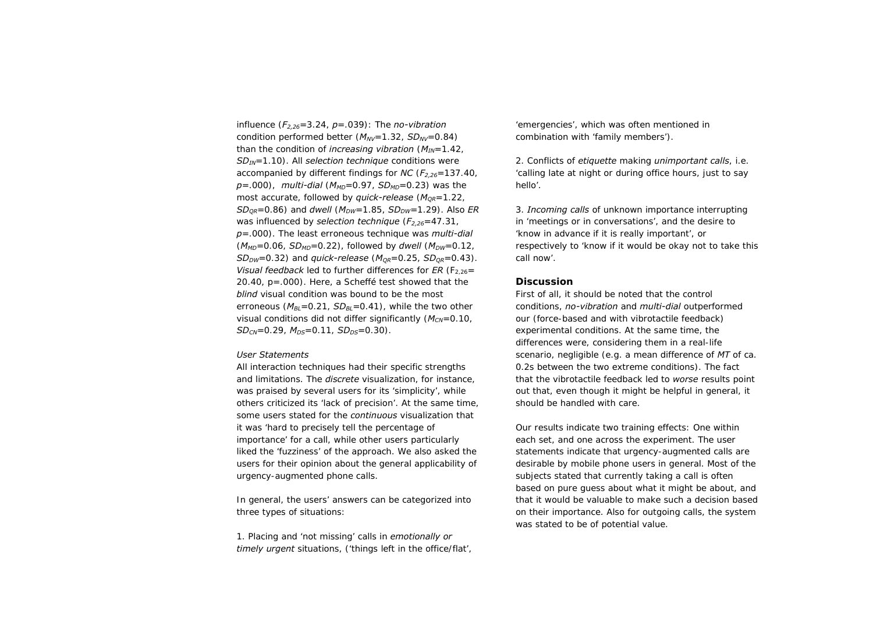influence (*F2,26*=3.24, *p*=.039): The *no-vibration* condition performed better ( $M_{NV}$ =1.32, *SD<sub>NV</sub>*=0.84) than the condition of *increasing vibration* (*MIN*=1.42, *SD<sub>IN</sub>*=1.10). All *selection technique* conditions were accompanied by different findings for *NC* (*F2,26*=137.40,  $p = .000$ ), *multi-dial* ( $M_{MD} = 0.97$ ,  $SD_{MD} = 0.23$ ) was the most accurate, followed by *quick-release* ( $M<sub>OR</sub>=1.22$ , *SD<sub>OR</sub>*=0.86) and *dwell* ( $M_{DW}$ =1.85, *SD<sub>DW</sub>*=1.29). Also *ER* was influenced by *selection technique* ( $F_{2,26}$ =47.31, *p*=.000). The least erroneous technique was *multi-dial*   $(M_{MD}=0.06, SD_{MD}=0.22)$ , followed by *dwell*  $(M_{DW}=0.12,$ *SD<sub>DW</sub>*=0.32) and *quick-release* ( $M_{OR}$ =0.25, *SD<sub>OR</sub>*=0.43). *Visual feedback* led to further differences for  $ER$  ( $F_{2,26}$ = 20.40, p=.000). Here, a Scheffé test showed that the *blind* visual condition was bound to be the most erroneous  $(M_{B} = 0.21, SD_{B} = 0.41)$ , while the two other visual conditions did not differ significantly ( $M_{CN}=0.10$ ,  $SD<sub>CN</sub>=0.29$ ,  $M<sub>DS</sub>=0.11$ ,  $SD<sub>DS</sub>=0.30$ ).

### *User Statements*

All interaction techniques had their specific strengths and limitations. The *discrete* visualization, for instance, was praised by several users for its 'simplicity', while others criticized its 'lack of precision'. At the same time, some users stated for the *continuous* visualization that it was 'hard to precisely tell the percentage of importance' for a call, while other users particularly liked the 'fuzziness' of the approach. We also asked the users for their opinion about the general applicability of urgency-augmented phone calls.

In general, the users' answers can be categorized into three types of situations:

1. Placing and 'not missing' calls in *emotionally or timely urgent* situations, ('things left in the office/flat',

'emergencies', which was often mentioned in combination with 'family members').

2. Conflicts of *etiquette* making *unimportant calls*, i.e. 'calling late at night or during office hours, just to say hello'.

3. *Incoming calls* of unknown importance interrupting in 'meetings or in conversations', and the desire to 'know in advance if it is really important', or respectively to 'know if it would be okay not to take this call now'.

## **Discussion**

First of all, it should be noted that the control conditions, *no-vibration* and *multi-dial* outperformed our (force-based and with vibrotactile feedback) experimental conditions. At the same time, the differences were, considering them in a real-life scenario, negligible (e.g. a mean difference of *MT* of ca. 0.2s between the two extreme conditions). The fact that the vibrotactile feedback led to *worse* results point out that, even though it might be helpful in general, it should be handled with care.

Our results indicate two training effects: One within each set, and one across the experiment. The user statements indicate that urgency-augmented calls are desirable by mobile phone users in general. Most of the subjects stated that currently taking a call is often based on pure guess about what it might be about, and that it would be valuable to make such a decision based on their importance. Also for outgoing calls, the system was stated to be of potential value.